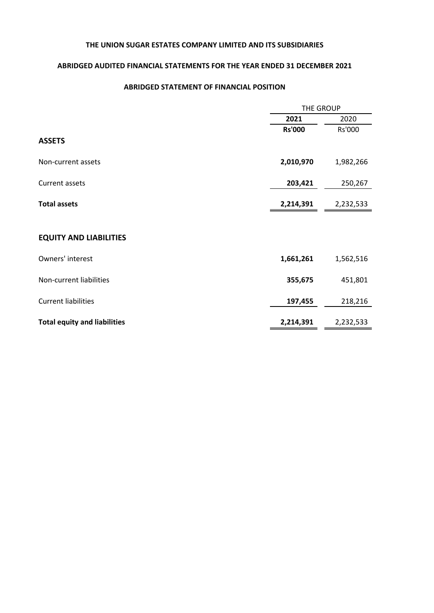## **ABRIDGED AUDITED FINANCIAL STATEMENTS FOR THE YEAR ENDED 31 DECEMBER 2021**

### **ABRIDGED STATEMENT OF FINANCIAL POSITION**

|                                     | THE GROUP     |           |  |
|-------------------------------------|---------------|-----------|--|
|                                     | 2021          | 2020      |  |
|                                     | <b>Rs'000</b> | Rs'000    |  |
| <b>ASSETS</b>                       |               |           |  |
| Non-current assets                  | 2,010,970     | 1,982,266 |  |
| Current assets                      | 203,421       | 250,267   |  |
| <b>Total assets</b>                 | 2,214,391     | 2,232,533 |  |
|                                     |               |           |  |
| <b>EQUITY AND LIABILITIES</b>       |               |           |  |
| Owners' interest                    | 1,661,261     | 1,562,516 |  |
| Non-current liabilities             | 355,675       | 451,801   |  |
| <b>Current liabilities</b>          | 197,455       | 218,216   |  |
| <b>Total equity and liabilities</b> | 2,214,391     | 2,232,533 |  |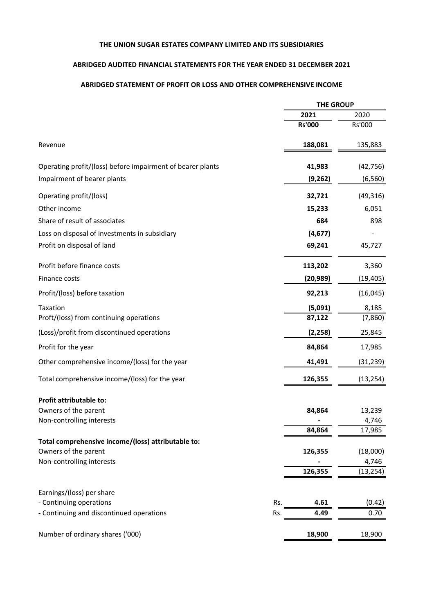### **ABRIDGED AUDITED FINANCIAL STATEMENTS FOR THE YEAR ENDED 31 DECEMBER 2021**

### **ABRIDGED STATEMENT OF PROFIT OR LOSS AND OTHER COMPREHENSIVE INCOME**

|                                                            |     | <b>THE GROUP</b> |           |
|------------------------------------------------------------|-----|------------------|-----------|
|                                                            |     | 2021             | 2020      |
|                                                            |     | <b>Rs'000</b>    | Rs'000    |
| Revenue                                                    |     | 188,081          | 135,883   |
| Operating profit/(loss) before impairment of bearer plants |     | 41,983           | (42, 756) |
| Impairment of bearer plants                                |     | (9,262)          | (6, 560)  |
| Operating profit/(loss)                                    |     | 32,721           | (49, 316) |
| Other income                                               |     | 15,233           | 6,051     |
| Share of result of associates                              |     | 684              | 898       |
| Loss on disposal of investments in subsidiary              |     | (4, 677)         |           |
| Profit on disposal of land                                 |     | 69,241           | 45,727    |
| Profit before finance costs                                |     | 113,202          | 3,360     |
| Finance costs                                              |     | (20, 989)        | (19, 405) |
| Profit/(loss) before taxation                              |     | 92,213           | (16, 045) |
| Taxation                                                   |     | (5,091)          | 8,185     |
| Proft/(loss) from continuing operations                    |     | 87,122           | (7,860)   |
| (Loss)/profit from discontinued operations                 |     | (2, 258)         | 25,845    |
| Profit for the year                                        |     | 84,864           | 17,985    |
| Other comprehensive income/(loss) for the year             |     | 41,491           | (31, 239) |
| Total comprehensive income/(loss) for the year             |     | 126,355          | (13, 254) |
| Profit attributable to:                                    |     |                  |           |
| Owners of the parent                                       |     | 84,864           | 13,239    |
| Non-controlling interests                                  |     |                  | 4,746     |
| Total comprehensive income/(loss) attributable to:         |     | 84,864           | 17,985    |
| Owners of the parent                                       |     | 126,355          | (18,000)  |
| Non-controlling interests                                  |     |                  | 4,746     |
|                                                            |     | 126,355          | (13, 254) |
| Earnings/(loss) per share                                  |     |                  |           |
| - Continuing operations                                    | Rs. | 4.61             | (0.42)    |
| - Continuing and discontinued operations                   | Rs. | 4.49             | 0.70      |
| Number of ordinary shares ('000)                           |     | 18,900           | 18,900    |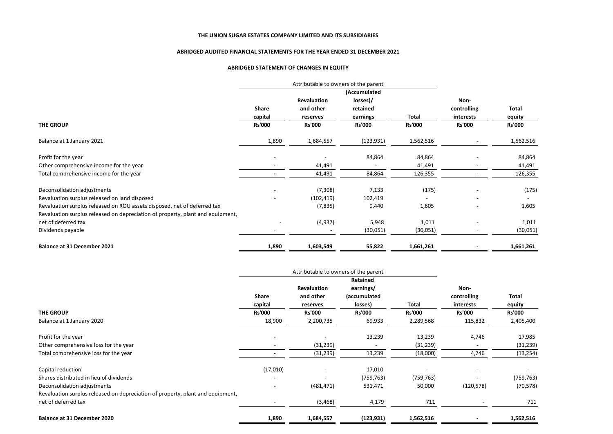#### **ABRIDGED AUDITED FINANCIAL STATEMENTS FOR THE YEAR ENDED 31 DECEMBER 2021**

#### **ABRIDGED STATEMENT OF CHANGES IN EQUITY**

|                                                                                | Attributable to owners of the parent |                    |               |               |                          |               |
|--------------------------------------------------------------------------------|--------------------------------------|--------------------|---------------|---------------|--------------------------|---------------|
|                                                                                | (Accumulated                         |                    |               |               |                          |               |
|                                                                                |                                      | <b>Revaluation</b> | losses)/      |               | Non-                     |               |
|                                                                                | Share                                | and other          | retained      |               | controlling              | Total         |
|                                                                                | capital                              | reserves           | earnings      | Total         | interests                | equity        |
| <b>THE GROUP</b>                                                               | <b>Rs'000</b>                        | <b>Rs'000</b>      | <b>Rs'000</b> | <b>Rs'000</b> | <b>Rs'000</b>            | <b>Rs'000</b> |
| Balance at 1 January 2021                                                      | 1,890                                | 1,684,557          | (123, 931)    | 1,562,516     |                          | 1,562,516     |
| Profit for the year                                                            |                                      |                    | 84,864        | 84,864        |                          | 84,864        |
| Other comprehensive income for the year                                        |                                      | 41,491             |               | 41,491        |                          | 41,491        |
| Total comprehensive income for the year                                        |                                      | 41,491             | 84,864        | 126,355       |                          | 126,355       |
| Deconsolidation adjustments                                                    |                                      | (7,308)            | 7,133         | (175)         |                          | (175)         |
| Revaluation surplus released on land disposed                                  |                                      | (102, 419)         | 102,419       |               |                          |               |
| Revaluation surplus released on ROU assets disposed, net of deferred tax       |                                      | (7, 835)           | 9,440         | 1,605         | $\overline{\phantom{0}}$ | 1,605         |
| Revaluation surplus released on depreciation of property, plant and equipment, |                                      |                    |               |               |                          |               |
| net of deferred tax                                                            |                                      | (4,937)            | 5,948         | 1,011         |                          | 1,011         |
| Dividends payable                                                              |                                      |                    | (30,051)      | (30,051)      |                          | (30,051)      |
| <b>Balance at 31 December 2021</b>                                             | 1,890                                | 1,603,549          | 55,822        | 1,661,261     |                          | 1,661,261     |

|                                                                                | Attributable to owners of the parent<br>Retained |                    |               |               |               |               |
|--------------------------------------------------------------------------------|--------------------------------------------------|--------------------|---------------|---------------|---------------|---------------|
|                                                                                |                                                  |                    |               |               |               |               |
|                                                                                |                                                  | <b>Revaluation</b> | earnings/     |               | Non-          |               |
|                                                                                | <b>Share</b>                                     | and other          | (accumulated  |               | controlling   | Total         |
|                                                                                | capital                                          | reserves           | losses)       | Total         | interests     | equity        |
| <b>THE GROUP</b>                                                               | <b>Rs'000</b>                                    | <b>Rs'000</b>      | <b>Rs'000</b> | <b>Rs'000</b> | <b>Rs'000</b> | <b>Rs'000</b> |
| Balance at 1 January 2020                                                      | 18,900                                           | 2,200,735          | 69,933        | 2,289,568     | 115,832       | 2,405,400     |
| Profit for the year                                                            |                                                  |                    | 13,239        | 13,239        | 4,746         | 17,985        |
| Other comprehensive loss for the year                                          |                                                  | (31, 239)          |               | (31, 239)     |               | (31, 239)     |
| Total comprehensive loss for the year                                          |                                                  | (31, 239)          | 13,239        | (18,000)      | 4,746         | (13, 254)     |
| Capital reduction                                                              | (17,010)                                         |                    | 17,010        |               |               |               |
| Shares distributed in lieu of dividends                                        |                                                  |                    | (759, 763)    | (759, 763)    |               | (759, 763)    |
| Deconsolidation adjustments                                                    | $\overline{\phantom{0}}$                         | (481, 471)         | 531,471       | 50,000        | (120, 578)    | (70, 578)     |
| Revaluation surplus released on depreciation of property, plant and equipment, |                                                  |                    |               |               |               |               |
| net of deferred tax                                                            |                                                  | (3, 468)           | 4,179         | 711           |               | 711           |
| <b>Balance at 31 December 2020</b>                                             | 1,890                                            | 1,684,557          | (123, 931)    | 1,562,516     |               | 1,562,516     |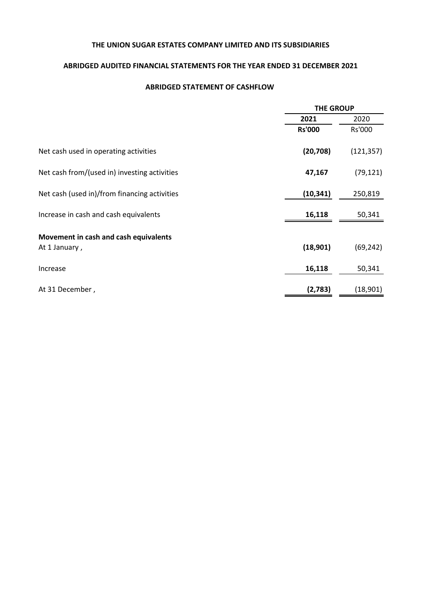## **ABRIDGED AUDITED FINANCIAL STATEMENTS FOR THE YEAR ENDED 31 DECEMBER 2021**

### **ABRIDGED STATEMENT OF CASHFLOW**

|                                              |               | <b>THE GROUP</b> |  |  |
|----------------------------------------------|---------------|------------------|--|--|
|                                              | 2021          | 2020             |  |  |
|                                              | <b>Rs'000</b> | Rs'000           |  |  |
| Net cash used in operating activities        | (20, 708)     | (121, 357)       |  |  |
| Net cash from/(used in) investing activities | 47,167        | (79, 121)        |  |  |
| Net cash (used in)/from financing activities | (10, 341)     | 250,819          |  |  |
| Increase in cash and cash equivalents        | 16,118        | 50,341           |  |  |
| Movement in cash and cash equivalents        |               |                  |  |  |
| At 1 January,                                | (18,901)      | (69, 242)        |  |  |
| Increase                                     | 16,118        | 50,341           |  |  |
| At 31 December,                              | (2,783)       | (18,901)         |  |  |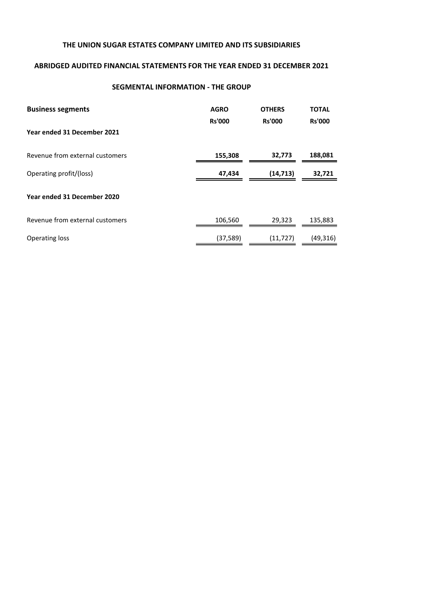## **ABRIDGED AUDITED FINANCIAL STATEMENTS FOR THE YEAR ENDED 31 DECEMBER 2021**

### **SEGMENTAL INFORMATION - THE GROUP**

| <b>Business segments</b>        | <b>AGRO</b><br><b>Rs'000</b> | <b>OTHERS</b><br><b>Rs'000</b> | <b>TOTAL</b><br><b>Rs'000</b> |
|---------------------------------|------------------------------|--------------------------------|-------------------------------|
| Year ended 31 December 2021     |                              |                                |                               |
| Revenue from external customers | 155,308                      | 32,773                         | 188,081                       |
| Operating profit/(loss)         | 47,434                       | (14, 713)                      | 32,721                        |
| Year ended 31 December 2020     |                              |                                |                               |
| Revenue from external customers | 106,560                      | 29,323                         | 135,883                       |
| <b>Operating loss</b>           | (37, 589)                    | (11, 727)                      | (49, 316)                     |